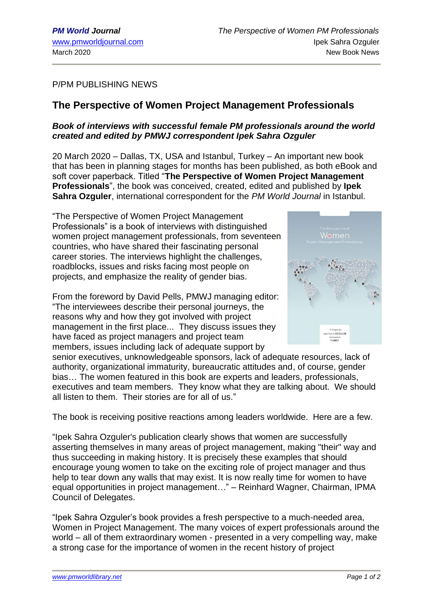P/PM PUBLISHING NEWS

## **The Perspective of Women Project Management Professionals**

## *Book of interviews with successful female PM professionals around the world created and edited by PMWJ correspondent Ipek Sahra Ozguler*

20 March 2020 – Dallas, TX, USA and Istanbul, Turkey – An important new book that has been in planning stages for months has been published, as both eBook and soft cover paperback. Titled "**The Perspective of Women Project Management Professionals**", the book was conceived, created, edited and published by **Ipek Sahra Ozguler**, international correspondent for the *PM World Journal* in Istanbul.

"The Perspective of Women Project Management Professionals" is a book of interviews with distinguished women project management professionals, from seventeen countries, who have shared their fascinating personal career stories. The interviews highlight the challenges, roadblocks, issues and risks facing most people on projects, and emphasize the reality of gender bias.

From the foreword by David Pells, PMWJ managing editor: "The interviewees describe their personal journeys, the reasons why and how they got involved with project management in the first place... They discuss issues they have faced as project managers and project team members, issues including lack of adequate support by



senior executives, unknowledgeable sponsors, lack of adequate resources, lack of authority, organizational immaturity, bureaucratic attitudes and, of course, gender bias… The women featured in this book are experts and leaders, professionals, executives and team members. They know what they are talking about. We should all listen to them. Their stories are for all of us."

The book is receiving positive reactions among leaders worldwide. Here are a few.

"Ipek Sahra Ozguler's publication clearly shows that women are successfully asserting themselves in many areas of project management, making "their" way and thus succeeding in making history. It is precisely these examples that should encourage young women to take on the exciting role of project manager and thus help to tear down any walls that may exist. It is now really time for women to have equal opportunities in project management…" – Reinhard Wagner, Chairman, IPMA Council of Delegates.

"Ipek Sahra Ozguler's book provides a fresh perspective to a much-needed area, Women in Project Management. The many voices of expert professionals around the world – all of them extraordinary women - presented in a very compelling way, make a strong case for the importance of women in the recent history of project